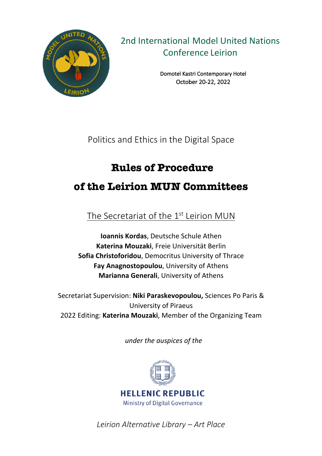

2nd International Model United Nations Conference Leirion

> Domotel Kastri Contemporary Hotel October 20-22, 2022

Politics and Ethics in the Digital Space

# **Rules of Procedure**

## **of the Leirion MUN Committees**

The Secretariat of the 1<sup>st</sup> Leirion MUN

**Ioannis Kordas**, Deutsche Schule Athen **Katerina Mouzaki**, Freie Universität Berlin **Sofia Christoforidou**, Democritus University of Thrace **Fay Anagnostopoulou**, University of Athens **Marianna Generali**, University of Athens

Secretariat Supervision: **Niki Paraskevopoulou,** Sciences Po Paris & University of Piraeus 2022 Editing: **Katerina Mouzaki**, Member of the Organizing Team

*under the auspices of the* 



*Leirion Alternative Library – Art Place*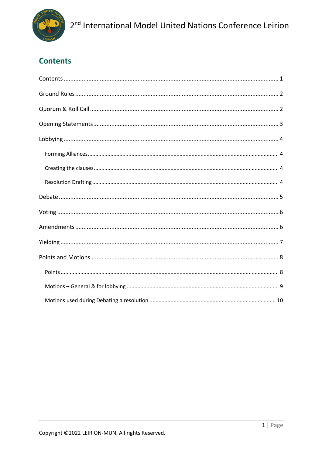

## **Contents**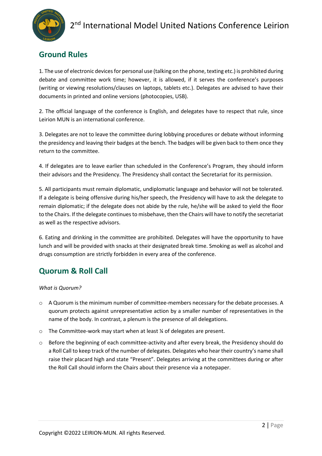

### **Ground Rules**

1. The use of electronic devices for personal use (talking on the phone, texting etc.) is prohibited during debate and committee work time; however, it is allowed, if it serves the conference's purposes (writing or viewing resolutions/clauses on laptops, tablets etc.). Delegates are advised to have their documents in printed and online versions (photocopies, USB).

2. The official language of the conference is English, and delegates have to respect that rule, since Leirion MUN is an international conference.

3. Delegates are not to leave the committee during lobbying procedures or debate without informing the presidency and leaving their badges at the bench. The badges will be given back to them once they return to the committee.

4. If delegates are to leave earlier than scheduled in the Conference's Program, they should inform their advisors and the Presidency. The Presidency shall contact the Secretariat for its permission.

5. All participants must remain diplomatic, undiplomatic language and behavior will not be tolerated. If a delegate is being offensive during his/her speech, the Presidency will have to ask the delegate to remain diplomatic; if the delegate does not abide by the rule, he/she will be asked to yield the floor to the Chairs. If the delegate continues to misbehave, then the Chairs will have to notify the secretariat as well as the respective advisors.

6. Eating and drinking in the committee are prohibited. Delegates will have the opportunity to have lunch and will be provided with snacks at their designated break time. Smoking as well as alcohol and drugs consumption are strictly forbidden in every area of the conference.

### **Quorum & Roll Call**

*What is Quorum?*

- o A Quorum is the minimum number of committee-members necessary for the debate processes. A quorum protects against unrepresentative action by a smaller number of representatives in the name of the body. In contrast, a plenum is the presence of all delegations.
- o The Committee-work may start when at least ¼ of delegates are present.
- o Before the beginning of each committee-activity and after every break, the Presidency should do a Roll Call to keep track of the number of delegates. Delegates who hear their country's name shall raise their placard high and state "Present". Delegates arriving at the committees during or after the Roll Call should inform the Chairs about their presence via a notepaper.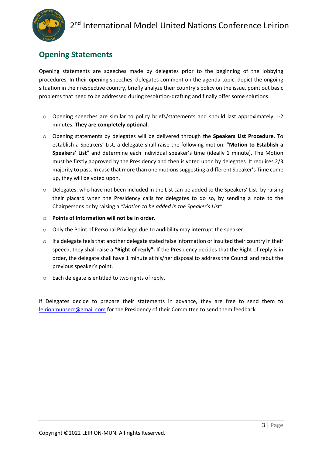

### **Opening Statements**

Opening statements are speeches made by delegates prior to the beginning of the lobbying procedures. In their opening speeches, delegates comment on the agenda-topic, depict the ongoing situation in their respective country, briefly analyze their country's policy on the issue, point out basic problems that need to be addressed during resolution-drafting and finally offer some solutions.

- $\circ$  Opening speeches are similar to policy briefs/statements and should last approximately 1-2 minutes. **They are completely optional.**
- o Opening statements by delegates will be delivered through the **Speakers List Procedure**. To establish a Speakers' List, a delegate shall raise the following motion: **"Motion to Establish a Speakers' List**" and determine each individual speaker's time (ideally 1 minute). The Motion must be firstly approved by the Presidency and then is voted upon by delegates. It requires 2/3 majority to pass. In case that more than one motions suggesting a different Speaker's Time come up, they will be voted upon.
- $\circ$  Delegates, who have not been included in the List can be added to the Speakers' List: by raising their placard when the Presidency calls for delegates to do so, by sending a note to the Chairpersons or by raising a *"Motion to be added in the Speaker's List"*
- o **Points of Information will not be in order.**
- o Only the Point of Personal Privilege due to audibility may interrupt the speaker.
- o If a delegate feels that another delegate stated false information or insulted their country in their speech, they shall raise a **"Right of reply".** If the Presidency decides that the Right of reply is in order, the delegate shall have 1 minute at his/her disposal to address the Council and rebut the previous speaker's point.
- o Each delegate is entitled to two rights of reply.

If Delegates decide to prepare their statements in advance, they are free to send them to leirionmunsecr@gmail.com for the Presidency of their Committee to send them feedback.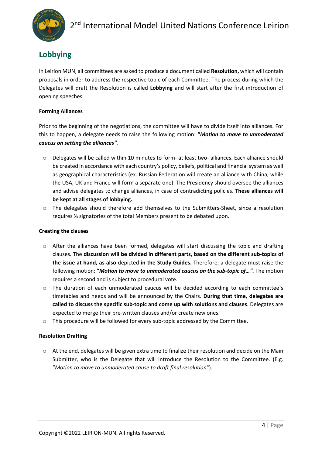

### **Lobbying**

In Leirion MUN, all committees are asked to produce a document called **Resolution,** which will contain proposals in order to address the respective topic of each Committee. The process during which the Delegates will draft the Resolution is called **Lobbying** and will start after the first introduction of opening speeches.

#### **Forming Alliances**

Prior to the beginning of the negotiations, the committee will have to divide itself into alliances. For this to happen, a delegate needs to raise the following motion: **"***Motion to move to unmoderated caucus on setting the alliances".*

- o Delegates will be called within 10 minutes to form- at least two- alliances. Each alliance should be created in accordance with each country's policy, beliefs, political and financial system as well as geographical characteristics (ex. Russian Federation will create an alliance with China, while the USA, UK and France will form a separate one). The Presidency should oversee the alliances and advise delegates to change alliances, in case of contradicting policies. **These alliances will be kept at all stages of lobbying.**
- o The delegates should therefore add themselves to the Submitters-Sheet, since a resolution requires ⅓ signatories of the total Members present to be debated upon.

#### **Creating the clauses**

- $\circ$  After the alliances have been formed, delegates will start discussing the topic and drafting clauses. The **discussion will be divided in different parts, based on the different sub-topics of the issue at hand, as also** depicted **in the Study Guides.** Therefore, a delegate must raise the following motion: **"***Motion to move to unmoderated caucus on the sub-topic of…".* The motion requires a second and is subject to procedural vote.
- o The duration of each unmoderated caucus will be decided according to each committee`s timetables and needs and will be announced by the Chairs. **During that time, delegates are called to discuss the specific sub-topic and come up with solutions and clauses**. Delegates are expected to merge their pre-written clauses and/or create new ones.
- o This procedure will be followed for every sub-topic addressed by the Committee.

#### **Resolution Drafting**

o At the end, delegates will be given extra time to finalize their resolution and decide on the Main Submitter, who is the Delegate that will introduce the Resolution to the Committee. (E.g. "*Motion to move to unmoderated cause to draft final resolution"*).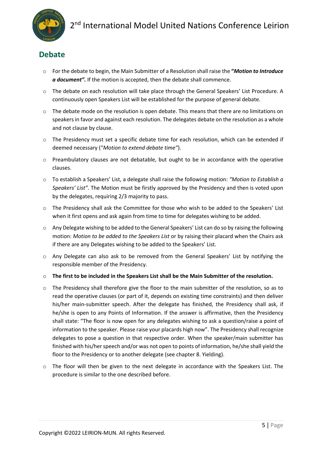### **Debate**

- o For the debate to begin, the Main Submitter of a Resolution shall raise the **"***Motion to Introduce a document".* If the motion is accepted, then the debate shall commence.
- o The debate on each resolution will take place through the General Speakers' List Procedure. A continuously open Speakers List will be established for the purpose of general debate.
- $\circ$  The debate mode on the resolution is open debate. This means that there are no limitations on speakers in favor and against each resolution. The delegates debate on the resolution as a whole and not clause by clause.
- $\circ$  The Presidency must set a specific debate time for each resolution, which can be extended if deemed necessary ("*Motion to extend debate time"*).
- o Preambulatory clauses are not debatable, but ought to be in accordance with the operative clauses.
- o To establish a Speakers' List, a delegate shall raise the following motion: *"Motion to Establish a Speakers' List"*. The Motion must be firstly approved by the Presidency and then is voted upon by the delegates, requiring 2/3 majority to pass.
- o The Presidency shall ask the Committee for those who wish to be added to the Speakers' List when it first opens and ask again from time to time for delegates wishing to be added.
- o Any Delegate wishing to be added to the General Speakers' List can do so by raising the following motion: *Motion to be added to the Speakers List* or by raising their placard when the Chairs ask if there are any Delegates wishing to be added to the Speakers' List.
- o Any Delegate can also ask to be removed from the General Speakers' List by notifying the responsible member of the Presidency.
- o **The first to be included in the Speakers List shall be the Main Submitter of the resolution.**
- $\circ$  The Presidency shall therefore give the floor to the main submitter of the resolution, so as to read the operative clauses (or part of it, depends on existing time constraints) and then deliver his/her main-submitter speech. After the delegate has finished, the Presidency shall ask, if he/she is open to any Points of Information. If the answer is affirmative, then the Presidency shall state: "The floor is now open for any delegates wishing to ask a question/raise a point of information to the speaker. Please raise your placards high now". The Presidency shall recognize delegates to pose a question in that respective order. When the speaker/main submitter has finished with his/her speech and/or was not open to points of information, he/she shall yield the floor to the Presidency or to another delegate (see chapter 8. Yielding).
- $\circ$  The floor will then be given to the next delegate in accordance with the Speakers List. The procedure is similar to the one described before.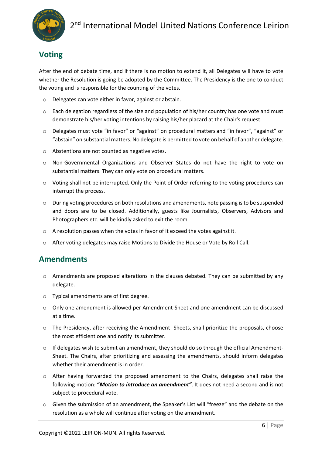### **Voting**

After the end of debate time, and if there is no motion to extend it, all Delegates will have to vote whether the Resolution is going be adopted by the Committee. The Presidency is the one to conduct the voting and is responsible for the counting of the votes.

- o Delegates can vote either in favor, against or abstain.
- $\circ$  Each delegation regardless of the size and population of his/her country has one vote and must demonstrate his/her voting intentions by raising his/her placard at the Chair's request.
- o Delegates must vote "in favor" or "against" on procedural matters and "in favor", "against" or "abstain" on substantial matters. No delegate is permitted to vote on behalf of another delegate.
- o Abstentions are not counted as negative votes.
- o Non-Governmental Organizations and Observer States do not have the right to vote on substantial matters. They can only vote on procedural matters.
- o Voting shall not be interrupted. Only the Point of Order referring to the voting procedures can interrupt the process.
- $\circ$  During voting procedures on both resolutions and amendments, note passing is to be suspended and doors are to be closed. Additionally, guests like Journalists, Observers, Advisors and Photographers etc. will be kindly asked to exit the room.
- o A resolution passes when the votes in favor of it exceed the votes against it.
- o After voting delegates may raise Motions to Divide the House or Vote by Roll Call.

### **Amendments**

- $\circ$  Amendments are proposed alterations in the clauses debated. They can be submitted by any delegate.
- o Typical amendments are of first degree.
- o Only one amendment is allowed per Amendment-Sheet and one amendment can be discussed at a time.
- $\circ$  The Presidency, after receiving the Amendment -Sheets, shall prioritize the proposals, choose the most efficient one and notify its submitter.
- $\circ$  If delegates wish to submit an amendment, they should do so through the official Amendment-Sheet. The Chairs, after prioritizing and assessing the amendments, should inform delegates whether their amendment is in order.
- $\circ$  After having forwarded the proposed amendment to the Chairs, delegates shall raise the following motion: **"***Motion to introduce an amendment"*. It does not need a second and is not subject to procedural vote.
- o Given the submission of an amendment, the Speaker's List will "freeze" and the debate on the resolution as a whole will continue after voting on the amendment.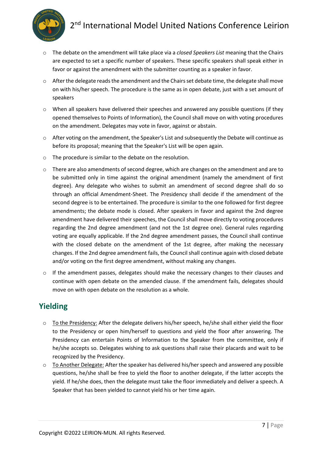



- o The debate on the amendment will take place via a *closed Speakers List* meaning that the Chairs are expected to set a specific number of speakers. These specific speakers shall speak either in favor or against the amendment with the submitter counting as a speaker in favor.
- $\circ$  After the delegate reads the amendment and the Chairs set debate time, the delegate shall move on with his/her speech. The procedure is the same as in open debate, just with a set amount of speakers
- $\circ$  When all speakers have delivered their speeches and answered any possible questions (if they opened themselves to Points of Information), the Council shall move on with voting procedures on the amendment. Delegates may vote in favor, against or abstain.
- $\circ$  After voting on the amendment, the Speaker's List and subsequently the Debate will continue as before its proposal; meaning that the Speaker's List will be open again.
- o The procedure is similar to the debate on the resolution.
- $\circ$  There are also amendments of second degree, which are changes on the amendment and are to be submitted only in time against the original amendment (namely the amendment of first degree). Any delegate who wishes to submit an amendment of second degree shall do so through an official Amendment-Sheet. The Presidency shall decide if the amendment of the second degree is to be entertained. The procedure is similar to the one followed for first degree amendments; the debate mode is closed. After speakers in favor and against the 2nd degree amendment have delivered their speeches, the Council shall move directly to voting procedures regarding the 2nd degree amendment (and not the 1st degree one). General rules regarding voting are equally applicable. If the 2nd degree amendment passes, the Council shall continue with the closed debate on the amendment of the 1st degree, after making the necessary changes. If the 2nd degree amendment fails, the Council shall continue again with closed debate and/or voting on the first degree amendment, without making any changes.
- $\circ$  If the amendment passes, delegates should make the necessary changes to their clauses and continue with open debate on the amended clause. If the amendment fails, delegates should move on with open debate on the resolution as a whole.

### **Yielding**

- $\circ$  To the Presidency: After the delegate delivers his/her speech, he/she shall either yield the floor to the Presidency or open him/herself to questions and yield the floor after answering. The Presidency can entertain Points of Information to the Speaker from the committee, only if he/she accepts so. Delegates wishing to ask questions shall raise their placards and wait to be recognized by the Presidency.
- o To Another Delegate: After the speaker has delivered his/her speech and answered any possible questions, he/she shall be free to yield the floor to another delegate, if the latter accepts the yield. If he/she does, then the delegate must take the floor immediately and deliver a speech. A Speaker that has been yielded to cannot yield his or her time again.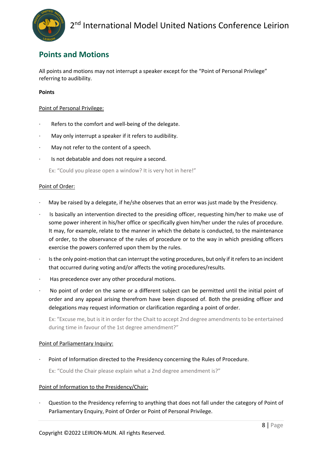

### **Points and Motions**

All points and motions may not interrupt a speaker except for the "Point of Personal Privilege" referring to audibility.

#### **Points**

#### Point of Personal Privilege:

- Refers to the comfort and well-being of the delegate.
- May only interrupt a speaker if it refers to audibility.
- May not refer to the content of a speech.
- Is not debatable and does not require a second.

Ex: "Could you please open a window? It is very hot in here!"

#### Point of Order:

- · May be raised by a delegate, if he/she observes that an error was just made by the Presidency.
- Is basically an intervention directed to the presiding officer, requesting him/her to make use of some power inherent in his/her office or specifically given him/her under the rules of procedure. It may, for example, relate to the manner in which the debate is conducted, to the maintenance of order, to the observance of the rules of procedure or to the way in which presiding officers exercise the powers conferred upon them by the rules.
- Is the only point-motion that can interrupt the voting procedures, but only if it refers to an incident that occurred during voting and/or affects the voting procedures/results.
- Has precedence over any other procedural motions.
- · No point of order on the same or a different subject can be permitted until the initial point of order and any appeal arising therefrom have been disposed of. Both the presiding officer and delegations may request information or clarification regarding a point of order.

Ex: "Excuse me, but is it in order for the Chait to accept 2nd degree amendments to be entertained during time in favour of the 1st degree amendment?"

#### Point of Parliamentary Inquiry:

Point of Information directed to the Presidency concerning the Rules of Procedure.

Ex: "Could the Chair please explain what a 2nd degree amendment is?"

#### Point of Information to the Presidency/Chair:

Question to the Presidency referring to anything that does not fall under the category of Point of Parliamentary Enquiry, Point of Order or Point of Personal Privilege.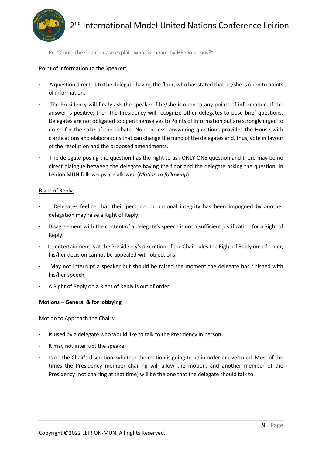

Ex: "Could the Chair please explain what is meant by HR violations?"

#### Point of Information to the Speaker:

- · A question directed to the delegate having the floor, who has stated that he/she is open to points of information.
- The Presidency will firstly ask the speaker if he/she is open to any points of information. If the answer is positive, then the Presidency will recognize other delegates to pose brief questions. Delegates are not obligated to open themselves to Points of Information but are strongly urged to do so for the sake of the debate. Nonetheless, answering questions provides the House with clarifications and elaborations that can change the mind of the delegates and, thus, vote in favour of the resolution and the proposed amendments.
- The delegate posing the question has the right to ask ONLY ONE question and there may be no direct dialogue between the delegate having the floor and the delegate asking the question. In Leirion MUN follow-ups are allowed (*Motion to follow-up*).

#### Right of Reply:

- Delegates feeling that their personal or national integrity has been impugned by another delegation may raise a Right of Reply.
- · Disagreement with the content of a delegate's speech is not a sufficient justification for a Right of Reply.
- Its entertainment is at the Presidency's discretion; if the Chair rules the Right of Reply out of order, his/her decision cannot be appealed with objections.
- May not interrupt a speaker but should be raised the moment the delegate has finished with his/her speech.
- A Right of Reply on a Right of Reply is out of order.

#### **Motions – General & for lobbying**

#### Motion to Approach the Chairs:

- Is used by a delegate who would like to talk to the Presidency in person.
- It may not interrupt the speaker.
- Is on the Chair's discretion, whether the motion is going to be in order or overruled. Most of the times the Presidency member chairing will allow the motion, and another member of the Presidency (not chairing at that time) will be the one that the delegate should talk to.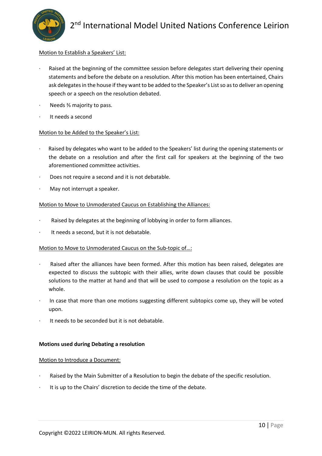

#### Motion to Establish a Speakers' List:

- Raised at the beginning of the committee session before delegates start delivering their opening statements and before the debate on a resolution. After this motion has been entertained, Chairs ask delegates in the house if they want to be added to the Speaker's List so as to deliver an opening speech or a speech on the resolution debated.
- Needs <sup>3</sup>⁄<sub>3</sub> majority to pass.
- It needs a second

#### Motion to be Added to the Speaker's List:

- Raised by delegates who want to be added to the Speakers' list during the opening statements or the debate on a resolution and after the first call for speakers at the beginning of the two aforementioned committee activities.
- Does not require a second and it is not debatable.
- May not interrupt a speaker.

#### Motion to Move to Unmoderated Caucus on Establishing the Alliances:

- Raised by delegates at the beginning of lobbying in order to form alliances.
- It needs a second, but it is not debatable.

#### Motion to Move to Unmoderated Caucus on the Sub-topic of…:

- Raised after the alliances have been formed. After this motion has been raised, delegates are expected to discuss the subtopic with their allies, write down clauses that could be possible solutions to the matter at hand and that will be used to compose a resolution on the topic as a whole.
- · In case that more than one motions suggesting different subtopics come up, they will be voted upon.
- It needs to be seconded but it is not debatable.

#### **Motions used during Debating a resolution**

#### Motion to Introduce a Document:

- Raised by the Main Submitter of a Resolution to begin the debate of the specific resolution.
- It is up to the Chairs' discretion to decide the time of the debate.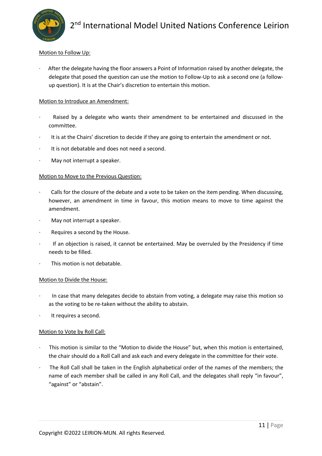#### Motion to Follow Up:

After the delegate having the floor answers a Point of Information raised by another delegate, the delegate that posed the question can use the motion to Follow-Up to ask a second one (a followup question). It is at the Chair's discretion to entertain this motion.

#### Motion to Introduce an Amendment:

- Raised by a delegate who wants their amendment to be entertained and discussed in the committee.
- · It is at the Chairs' discretion to decide if they are going to entertain the amendment or not.
- It is not debatable and does not need a second.
- May not interrupt a speaker.

#### Motion to Move to the Previous Question:

- Calls for the closure of the debate and a vote to be taken on the item pending. When discussing, however, an amendment in time in favour, this motion means to move to time against the amendment.
- May not interrupt a speaker.
- · Requires a second by the House.
- · If an objection is raised, it cannot be entertained. May be overruled by the Presidency if time needs to be filled.
- This motion is not debatable.

#### Motion to Divide the House:

- · In case that many delegates decide to abstain from voting, a delegate may raise this motion so as the voting to be re-taken without the ability to abstain.
- It requires a second.

#### Motion to Vote by Roll Call:

- · This motion is similar to the "Motion to divide the House" but, when this motion is entertained, the chair should do a Roll Call and ask each and every delegate in the committee for their vote.
- The Roll Call shall be taken in the English alphabetical order of the names of the members; the name of each member shall be called in any Roll Call, and the delegates shall reply "in favour", "against" or "abstain".